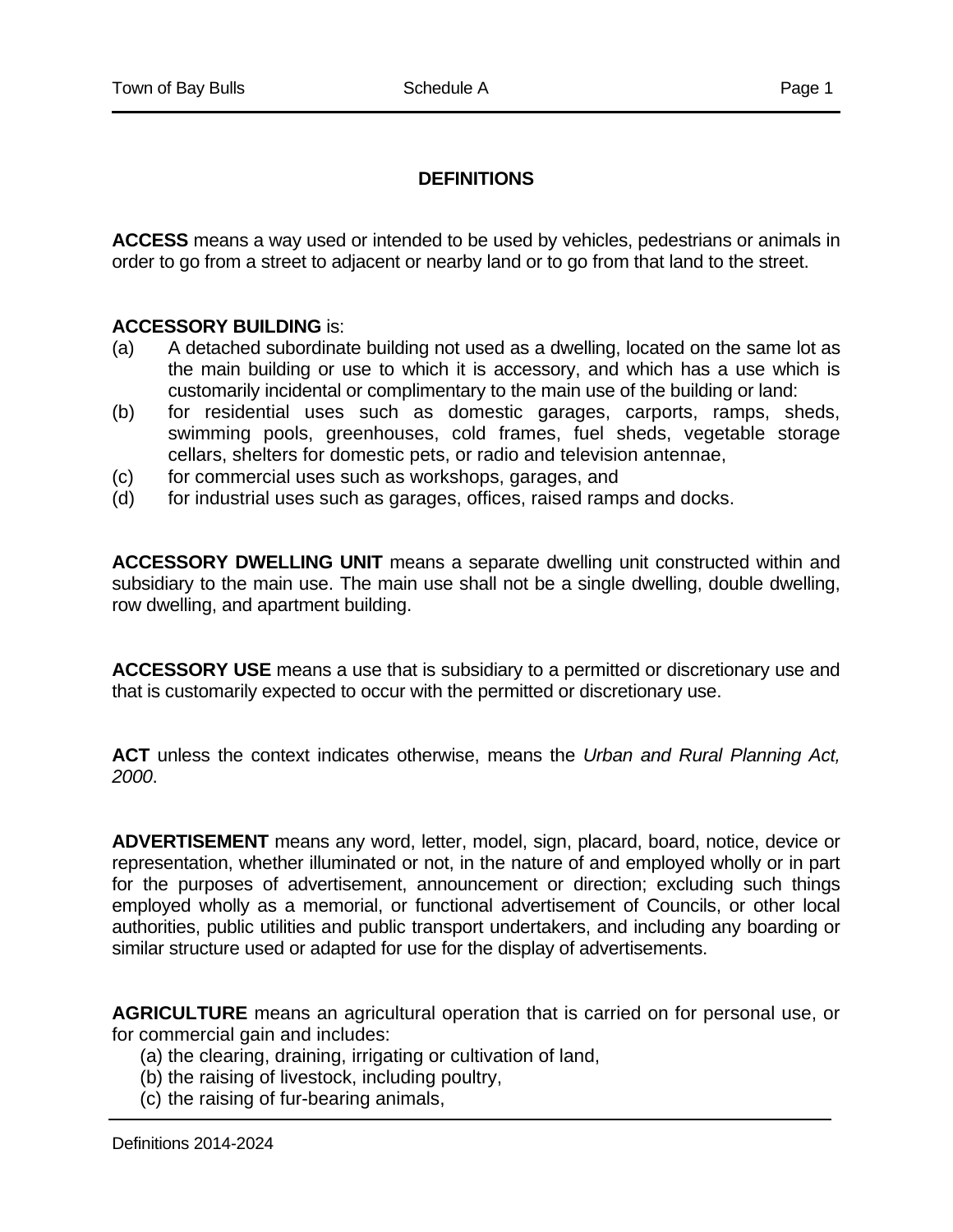## **DEFINITIONS**

**ACCESS** means a way used or intended to be used by vehicles, pedestrians or animals in order to go from a street to adjacent or nearby land or to go from that land to the street.

## **ACCESSORY BUILDING** is:

- (a) A detached subordinate building not used as a dwelling, located on the same lot as the main building or use to which it is accessory, and which has a use which is customarily incidental or complimentary to the main use of the building or land:
- (b) for residential uses such as domestic garages, carports, ramps, sheds, swimming pools, greenhouses, cold frames, fuel sheds, vegetable storage cellars, shelters for domestic pets, or radio and television antennae,
- (c) for commercial uses such as workshops, garages, and
- $(d)$  for industrial uses such as garages, offices, raised ramps and docks.

**ACCESSORY DWELLING UNIT** means a separate dwelling unit constructed within and subsidiary to the main use. The main use shall not be a single dwelling, double dwelling, row dwelling, and apartment building.

**ACCESSORY USE** means a use that is subsidiary to a permitted or discretionary use and that is customarily expected to occur with the permitted or discretionary use.

**ACT** unless the context indicates otherwise, means the *Urban and Rural Planning Act, 2000*.

**ADVERTISEMENT** means any word, letter, model, sign, placard, board, notice, device or representation, whether illuminated or not, in the nature of and employed wholly or in part for the purposes of advertisement, announcement or direction; excluding such things employed wholly as a memorial, or functional advertisement of Councils, or other local authorities, public utilities and public transport undertakers, and including any boarding or similar structure used or adapted for use for the display of advertisements.

**AGRICULTURE** means an agricultural operation that is carried on for personal use, or for commercial gain and includes:

- (a) the clearing, draining, irrigating or cultivation of land,
- (b) the raising of livestock, including poultry,
- (c) the raising of fur-bearing animals,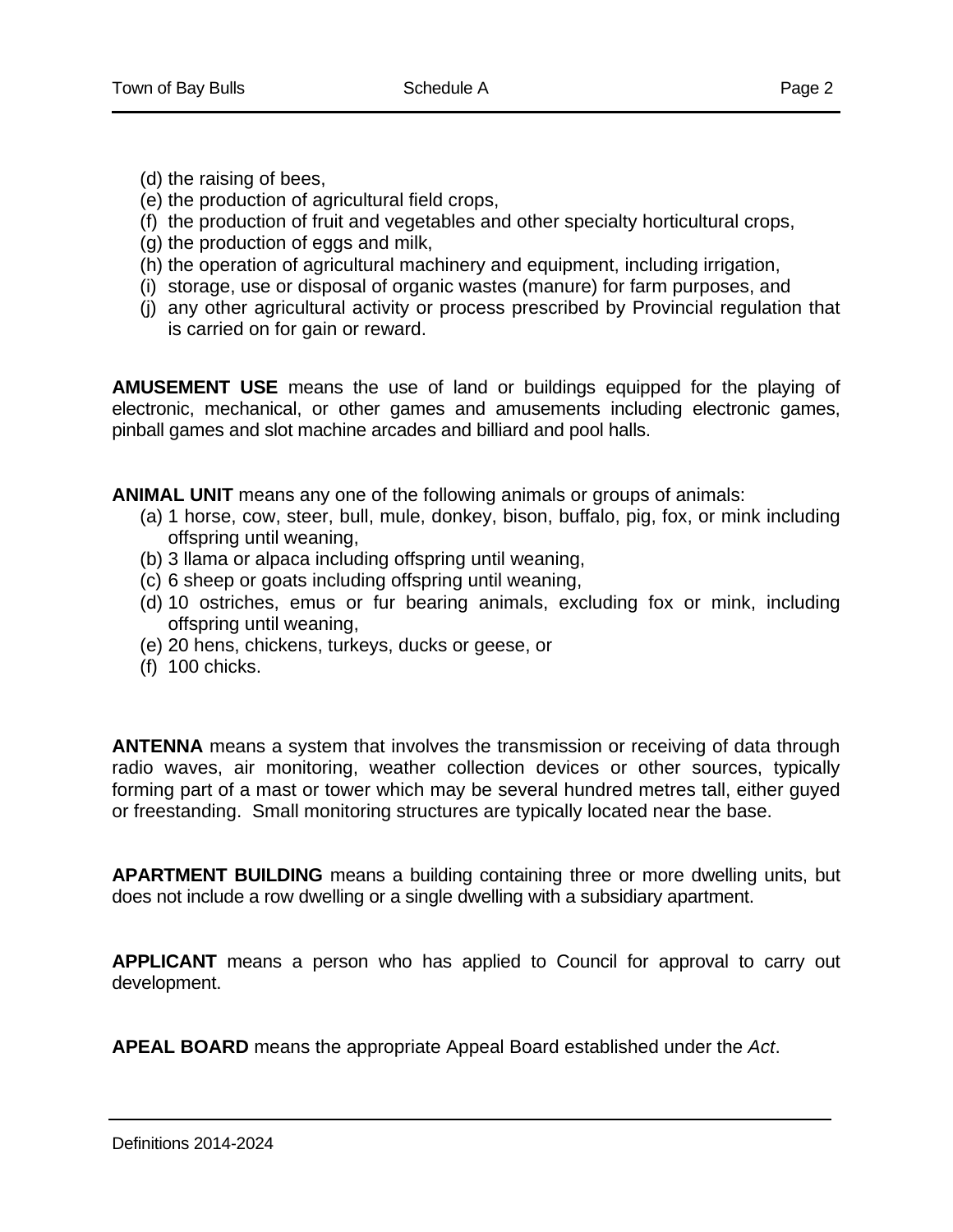- (d) the raising of bees,
- (e) the production of agricultural field crops,
- (f) the production of fruit and vegetables and other specialty horticultural crops,
- (g) the production of eggs and milk,
- (h) the operation of agricultural machinery and equipment, including irrigation,
- (i) storage, use or disposal of organic wastes (manure) for farm purposes, and
- (j) any other agricultural activity or process prescribed by Provincial regulation that is carried on for gain or reward.

**AMUSEMENT USE** means the use of land or buildings equipped for the playing of electronic, mechanical, or other games and amusements including electronic games, pinball games and slot machine arcades and billiard and pool halls.

**ANIMAL UNIT** means any one of the following animals or groups of animals:

- (a) 1 horse, cow, steer, bull, mule, donkey, bison, buffalo, pig, fox, or mink including offspring until weaning,
- (b) 3 llama or alpaca including offspring until weaning,
- (c) 6 sheep or goats including offspring until weaning,
- (d) 10 ostriches, emus or fur bearing animals, excluding fox or mink, including offspring until weaning,
- (e) 20 hens, chickens, turkeys, ducks or geese, or
- (f) 100 chicks.

**ANTENNA** means a system that involves the transmission or receiving of data through radio waves, air monitoring, weather collection devices or other sources, typically forming part of a mast or tower which may be several hundred metres tall, either guyed or freestanding. Small monitoring structures are typically located near the base.

**APARTMENT BUILDING** means a building containing three or more dwelling units, but does not include a row dwelling or a single dwelling with a subsidiary apartment.

**APPLICANT** means a person who has applied to Council for approval to carry out development.

**APEAL BOARD** means the appropriate Appeal Board established under the *Act*.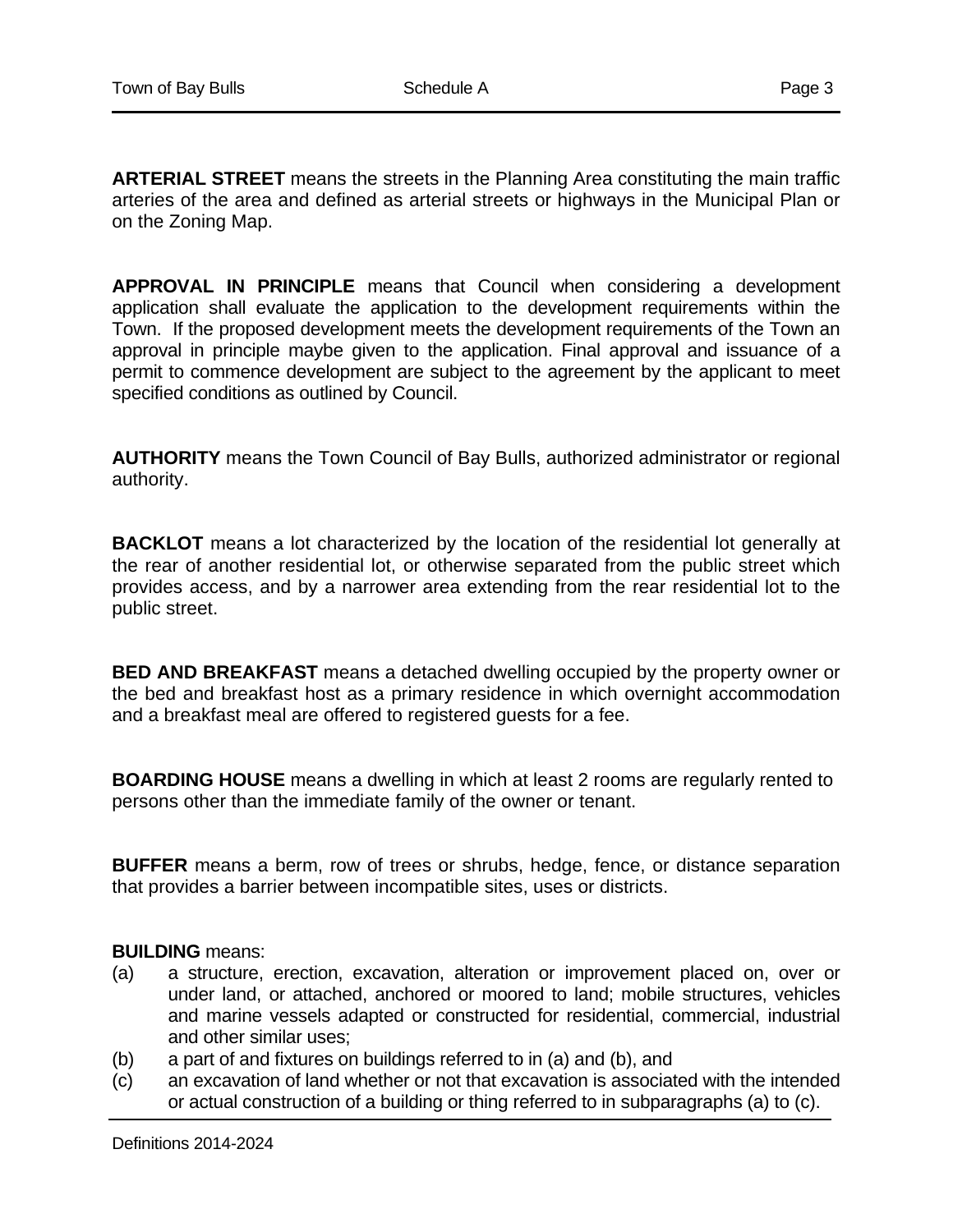**ARTERIAL STREET** means the streets in the Planning Area constituting the main traffic arteries of the area and defined as arterial streets or highways in the Municipal Plan or on the Zoning Map.

**APPROVAL IN PRINCIPLE** means that Council when considering a development application shall evaluate the application to the development requirements within the Town. If the proposed development meets the development requirements of the Town an approval in principle maybe given to the application. Final approval and issuance of a permit to commence development are subject to the agreement by the applicant to meet specified conditions as outlined by Council.

**AUTHORITY** means the Town Council of Bay Bulls, authorized administrator or regional authority.

**BACKLOT** means a lot characterized by the location of the residential lot generally at the rear of another residential lot, or otherwise separated from the public street which provides access, and by a narrower area extending from the rear residential lot to the public street.

**BED AND BREAKFAST** means a detached dwelling occupied by the property owner or the bed and breakfast host as a primary residence in which overnight accommodation and a breakfast meal are offered to registered guests for a fee.

**BOARDING HOUSE** means a dwelling in which at least 2 rooms are regularly rented to persons other than the immediate family of the owner or tenant.

**BUFFER** means a berm, row of trees or shrubs, hedge, fence, or distance separation that provides a barrier between incompatible sites, uses or districts.

## **BUILDING** means:

- (a) a structure, erection, excavation, alteration or improvement placed on, over or under land, or attached, anchored or moored to land; mobile structures, vehicles and marine vessels adapted or constructed for residential, commercial, industrial and other similar uses;
- (b) a part of and fixtures on buildings referred to in (a) and (b), and
- (c) an excavation of land whether or not that excavation is associated with the intended or actual construction of a building or thing referred to in subparagraphs (a) to (c).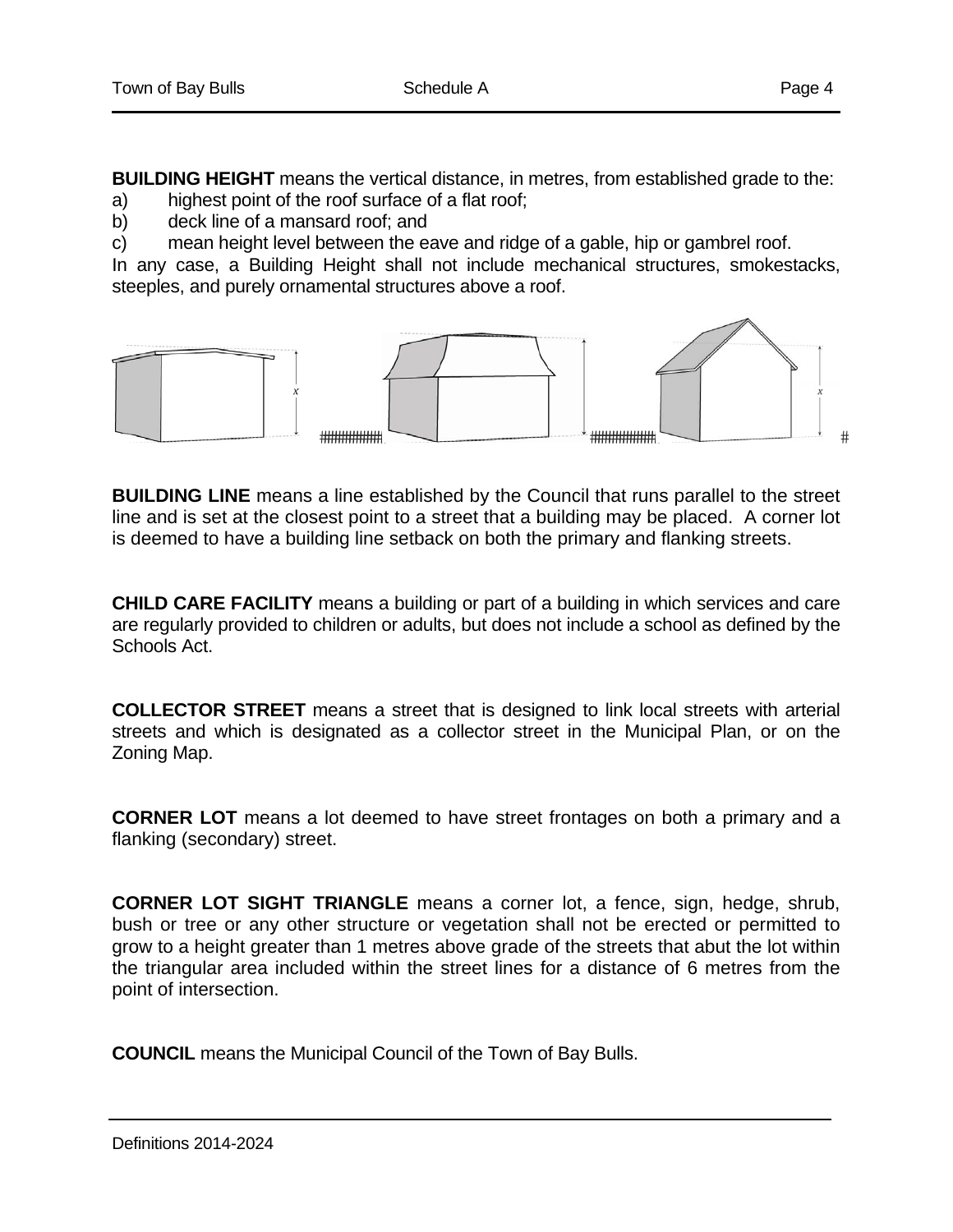**BUILDING HEIGHT** means the vertical distance, in metres, from established grade to the:

- a) highest point of the roof surface of a flat roof;
- b) deck line of a mansard roof; and

c) mean height level between the eave and ridge of a gable, hip or gambrel roof.

In any case, a Building Height shall not include mechanical structures, smokestacks, steeples, and purely ornamental structures above a roof.



**BUILDING LINE** means a line established by the Council that runs parallel to the street line and is set at the closest point to a street that a building may be placed. A corner lot is deemed to have a building line setback on both the primary and flanking streets.

**CHILD CARE FACILITY** means a building or part of a building in which services and care are regularly provided to children or adults, but does not include a school as defined by the Schools Act.

**COLLECTOR STREET** means a street that is designed to link local streets with arterial streets and which is designated as a collector street in the Municipal Plan, or on the Zoning Map.

**CORNER LOT** means a lot deemed to have street frontages on both a primary and a flanking (secondary) street.

**CORNER LOT SIGHT TRIANGLE** means a corner lot, a fence, sign, hedge, shrub, bush or tree or any other structure or vegetation shall not be erected or permitted to grow to a height greater than 1 metres above grade of the streets that abut the lot within the triangular area included within the street lines for a distance of 6 metres from the point of intersection.

**COUNCIL** means the Municipal Council of the Town of Bay Bulls.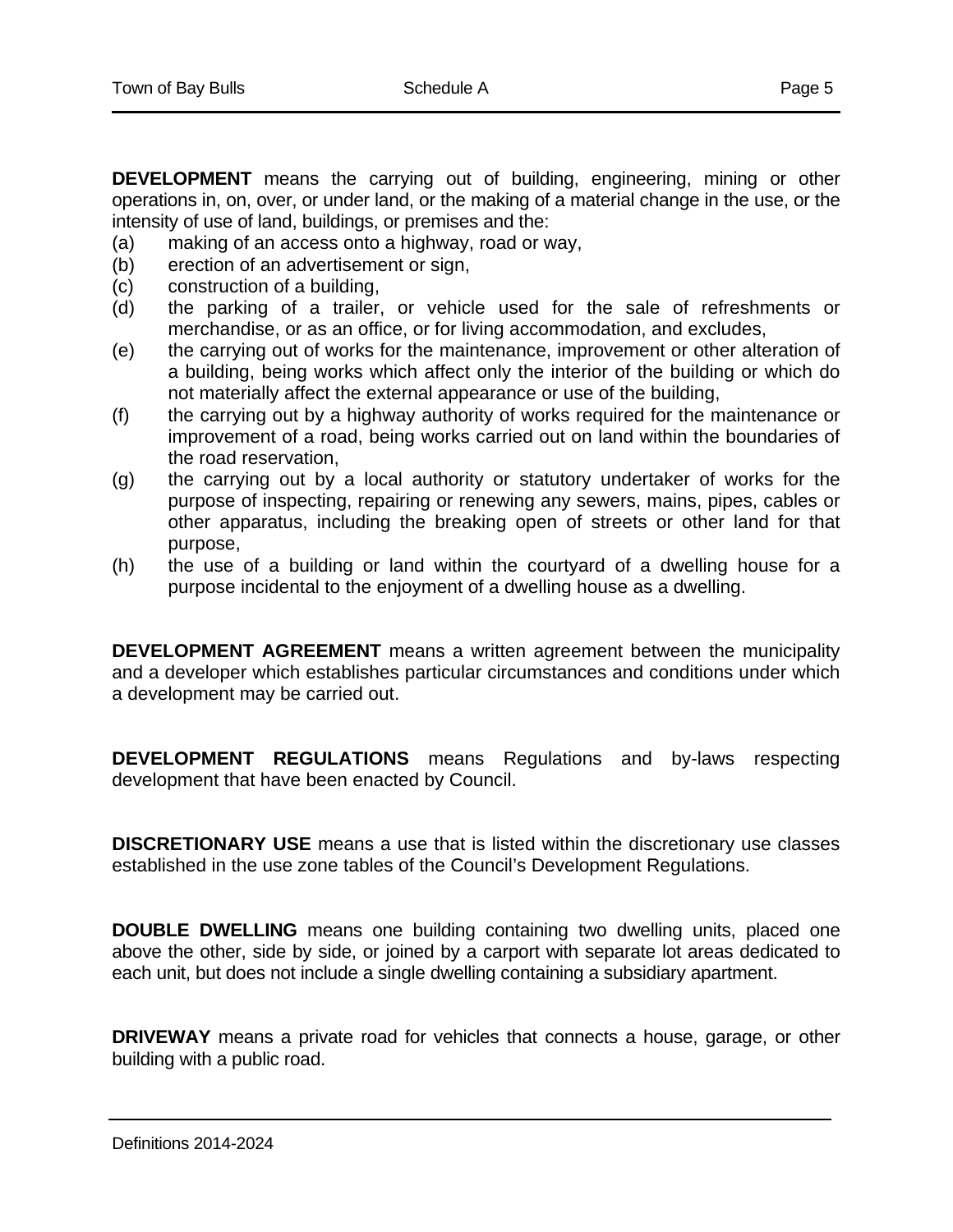**DEVELOPMENT** means the carrying out of building, engineering, mining or other operations in, on, over, or under land, or the making of a material change in the use, or the intensity of use of land, buildings, or premises and the:

- (a) making of an access onto a highway, road or way,
- (b) erection of an advertisement or sign,
- (c) construction of a building,
- (d) the parking of a trailer, or vehicle used for the sale of refreshments or merchandise, or as an office, or for living accommodation, and excludes,
- (e) the carrying out of works for the maintenance, improvement or other alteration of a building, being works which affect only the interior of the building or which do not materially affect the external appearance or use of the building,
- (f) the carrying out by a highway authority of works required for the maintenance or improvement of a road, being works carried out on land within the boundaries of the road reservation,
- (g) the carrying out by a local authority or statutory undertaker of works for the purpose of inspecting, repairing or renewing any sewers, mains, pipes, cables or other apparatus, including the breaking open of streets or other land for that purpose,
- (h) the use of a building or land within the courtyard of a dwelling house for a purpose incidental to the enjoyment of a dwelling house as a dwelling.

**DEVELOPMENT AGREEMENT** means a written agreement between the municipality and a developer which establishes particular circumstances and conditions under which a development may be carried out.

**DEVELOPMENT REGULATIONS** means Regulations and by-laws respecting development that have been enacted by Council.

**DISCRETIONARY USE** means a use that is listed within the discretionary use classes established in the use zone tables of the Council's Development Regulations.

**DOUBLE DWELLING** means one building containing two dwelling units, placed one above the other, side by side, or joined by a carport with separate lot areas dedicated to each unit, but does not include a single dwelling containing a subsidiary apartment.

**DRIVEWAY** means a private road for vehicles that connects a house, garage, or other building with a public road.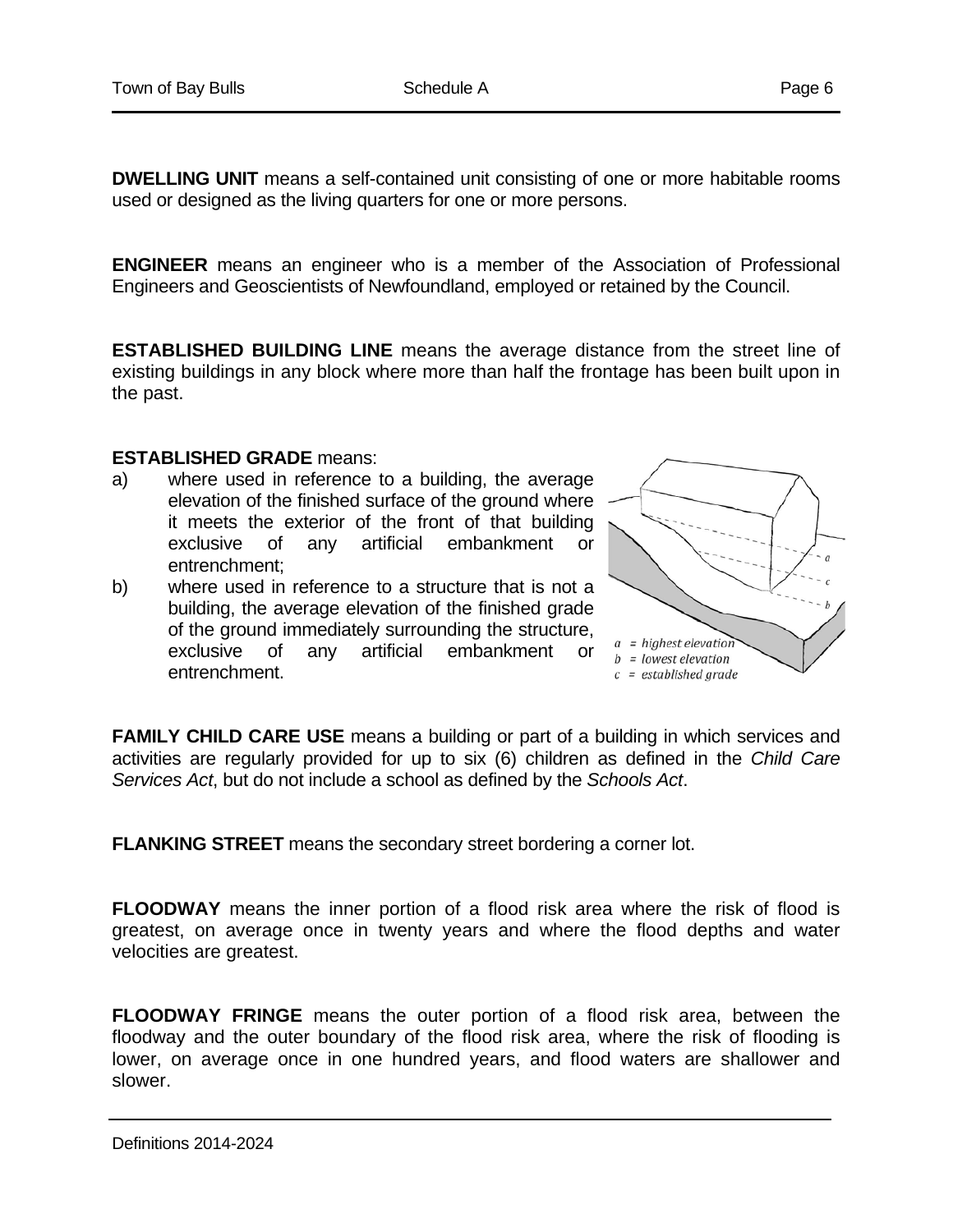**DWELLING UNIT** means a self-contained unit consisting of one or more habitable rooms used or designed as the living quarters for one or more persons.

**ENGINEER** means an engineer who is a member of the Association of Professional Engineers and Geoscientists of Newfoundland, employed or retained by the Council.

**ESTABLISHED BUILDING LINE** means the average distance from the street line of existing buildings in any block where more than half the frontage has been built upon in the past.

## **ESTABLISHED GRADE** means:

- a) where used in reference to a building, the average elevation of the finished surface of the ground where it meets the exterior of the front of that building exclusive of any artificial embankment or entrenchment;
- b) where used in reference to a structure that is not a building, the average elevation of the finished grade of the ground immediately surrounding the structure, exclusive of any artificial embankment or entrenchment.



**FAMILY CHILD CARE USE** means a building or part of a building in which services and activities are regularly provided for up to six (6) children as defined in the *Child Care Services Act*, but do not include a school as defined by the *Schools Act*.

**FLANKING STREET** means the secondary street bordering a corner lot.

**FLOODWAY** means the inner portion of a flood risk area where the risk of flood is greatest, on average once in twenty years and where the flood depths and water velocities are greatest.

**FLOODWAY FRINGE** means the outer portion of a flood risk area, between the floodway and the outer boundary of the flood risk area, where the risk of flooding is lower, on average once in one hundred years, and flood waters are shallower and slower.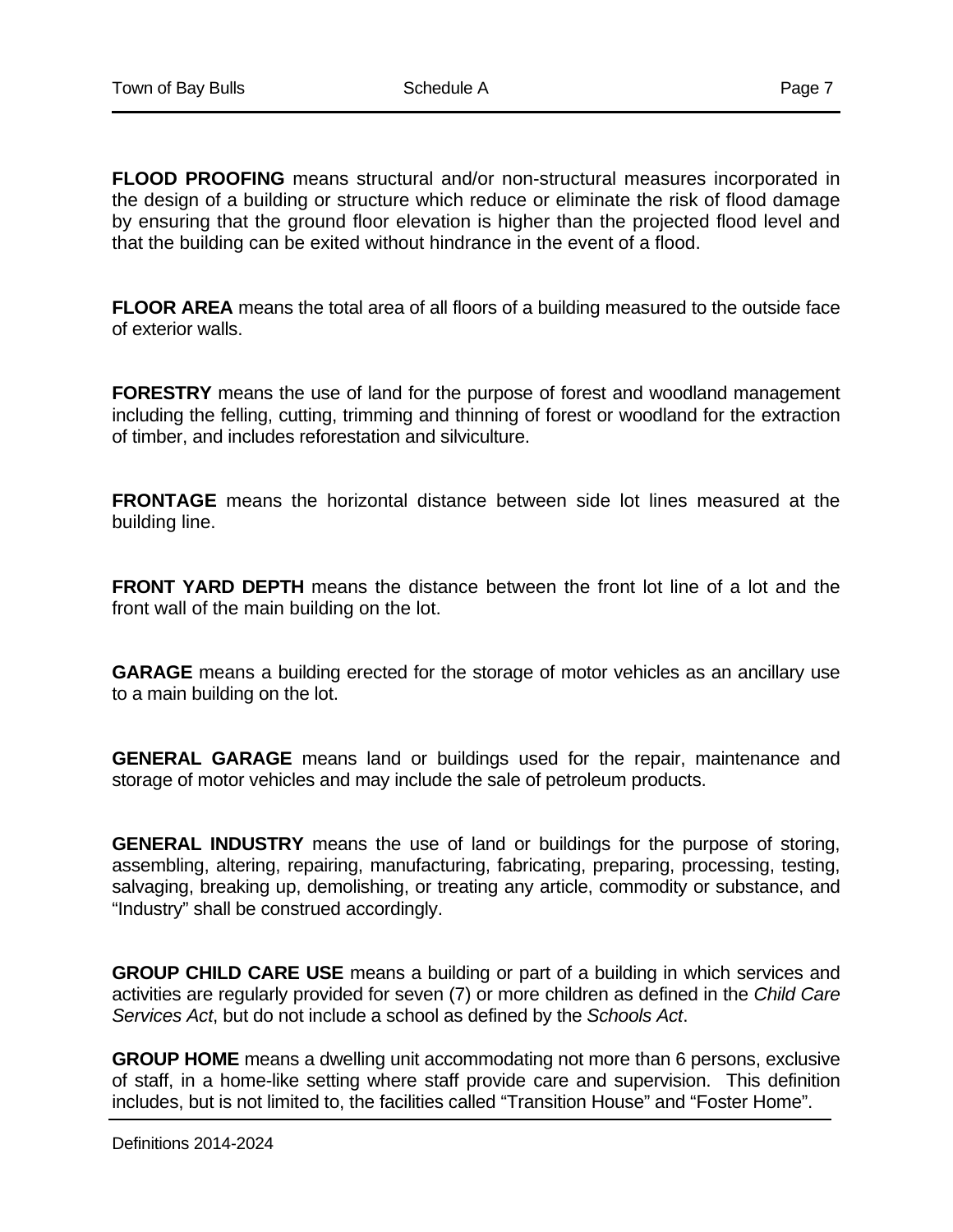**FLOOD PROOFING** means structural and/or non-structural measures incorporated in the design of a building or structure which reduce or eliminate the risk of flood damage by ensuring that the ground floor elevation is higher than the projected flood level and that the building can be exited without hindrance in the event of a flood.

**FLOOR AREA** means the total area of all floors of a building measured to the outside face of exterior walls.

**FORESTRY** means the use of land for the purpose of forest and woodland management including the felling, cutting, trimming and thinning of forest or woodland for the extraction of timber, and includes reforestation and silviculture.

**FRONTAGE** means the horizontal distance between side lot lines measured at the building line.

**FRONT YARD DEPTH** means the distance between the front lot line of a lot and the front wall of the main building on the lot.

**GARAGE** means a building erected for the storage of motor vehicles as an ancillary use to a main building on the lot.

**GENERAL GARAGE** means land or buildings used for the repair, maintenance and storage of motor vehicles and may include the sale of petroleum products.

**GENERAL INDUSTRY** means the use of land or buildings for the purpose of storing, assembling, altering, repairing, manufacturing, fabricating, preparing, processing, testing, salvaging, breaking up, demolishing, or treating any article, commodity or substance, and "Industry" shall be construed accordingly.

**GROUP CHILD CARE USE** means a building or part of a building in which services and activities are regularly provided for seven (7) or more children as defined in the *Child Care Services Act*, but do not include a school as defined by the *Schools Act*.

**GROUP HOME** means a dwelling unit accommodating not more than 6 persons, exclusive of staff, in a home-like setting where staff provide care and supervision. This definition includes, but is not limited to, the facilities called "Transition House" and "Foster Home".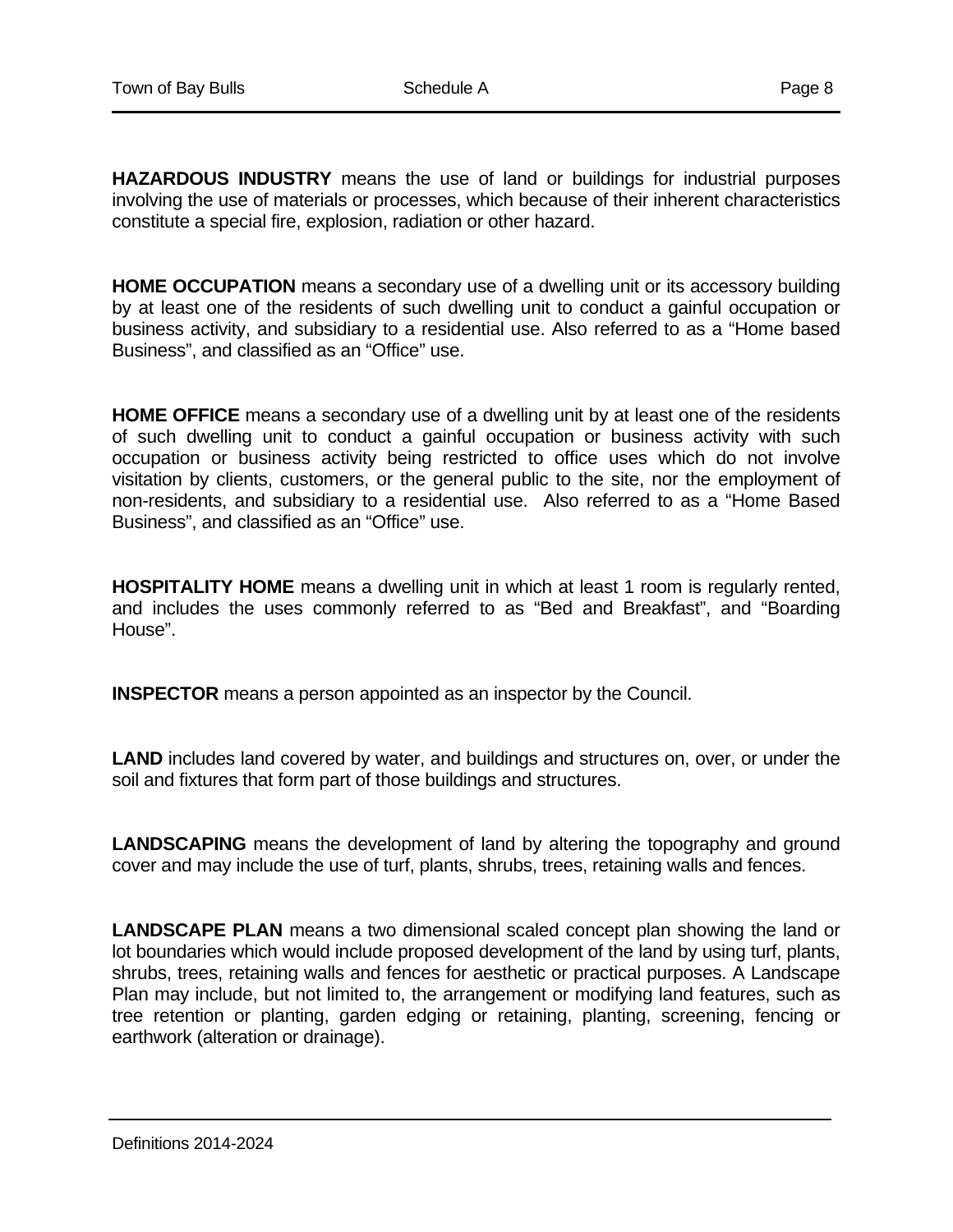**HAZARDOUS INDUSTRY** means the use of land or buildings for industrial purposes involving the use of materials or processes, which because of their inherent characteristics constitute a special fire, explosion, radiation or other hazard.

**HOME OCCUPATION** means a secondary use of a dwelling unit or its accessory building by at least one of the residents of such dwelling unit to conduct a gainful occupation or business activity, and subsidiary to a residential use. Also referred to as a "Home based Business", and classified as an "Office" use.

**HOME OFFICE** means a secondary use of a dwelling unit by at least one of the residents of such dwelling unit to conduct a gainful occupation or business activity with such occupation or business activity being restricted to office uses which do not involve visitation by clients, customers, or the general public to the site, nor the employment of non-residents, and subsidiary to a residential use. Also referred to as a "Home Based Business", and classified as an "Office" use.

**HOSPITALITY HOME** means a dwelling unit in which at least 1 room is regularly rented, and includes the uses commonly referred to as "Bed and Breakfast", and "Boarding House".

**INSPECTOR** means a person appointed as an inspector by the Council.

**LAND** includes land covered by water, and buildings and structures on, over, or under the soil and fixtures that form part of those buildings and structures.

**LANDSCAPING** means the development of land by altering the topography and ground cover and may include the use of turf, plants, shrubs, trees, retaining walls and fences.

**LANDSCAPE PLAN** means a two dimensional scaled concept plan showing the land or lot boundaries which would include proposed development of the land by using turf, plants, shrubs, trees, retaining walls and fences for aesthetic or practical purposes. A Landscape Plan may include, but not limited to, the arrangement or modifying land features, such as tree retention or planting, garden edging or retaining, planting, screening, fencing or earthwork (alteration or drainage).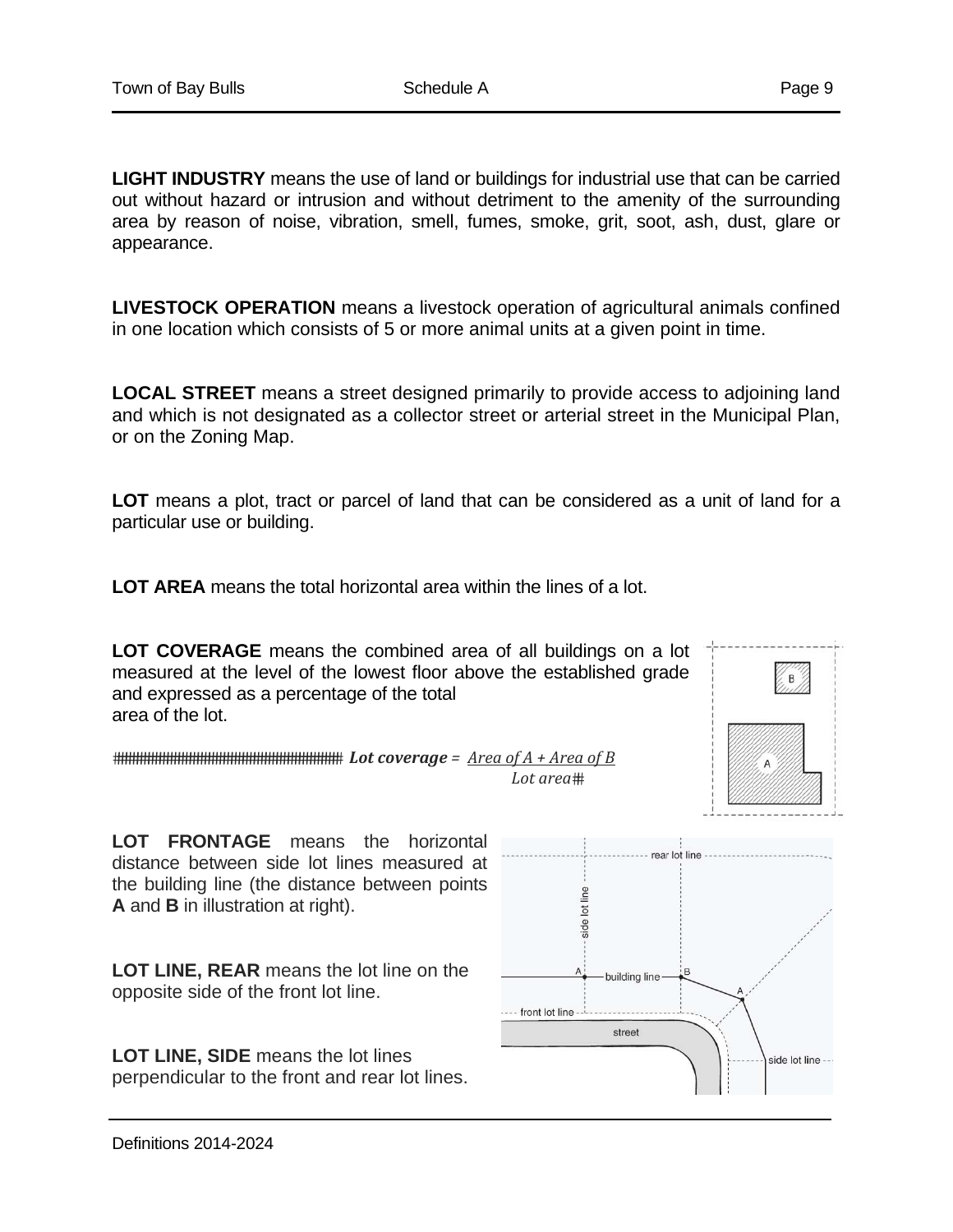**LIGHT INDUSTRY** means the use of land or buildings for industrial use that can be carried out without hazard or intrusion and without detriment to the amenity of the surrounding area by reason of noise, vibration, smell, fumes, smoke, grit, soot, ash, dust, glare or appearance.

**LIVESTOCK OPERATION** means a livestock operation of agricultural animals confined in one location which consists of 5 or more animal units at a given point in time.

**LOCAL STREET** means a street designed primarily to provide access to adjoining land and which is not designated as a collector street or arterial street in the Municipal Plan, or on the Zoning Map.

LOT means a plot, tract or parcel of land that can be considered as a unit of land for a particular use or building.

**LOT AREA** means the total horizontal area within the lines of a lot.

**LOT COVERAGE** means the combined area of all buildings on a lot measured at the level of the lowest floor above the established grade and expressed as a percentage of the total area of the lot.



 *Lot coverage = Area of A + Area of B Lot* area##

**LOT FRONTAGE** means the horizontal distance between side lot lines measured at the building line (the distance between points **A** and **B** in illustration at right).

**LOT LINE, REAR** means the lot line on the opposite side of the front lot line.

**LOT LINE, SIDE** means the lot lines perpendicular to the front and rear lot lines.

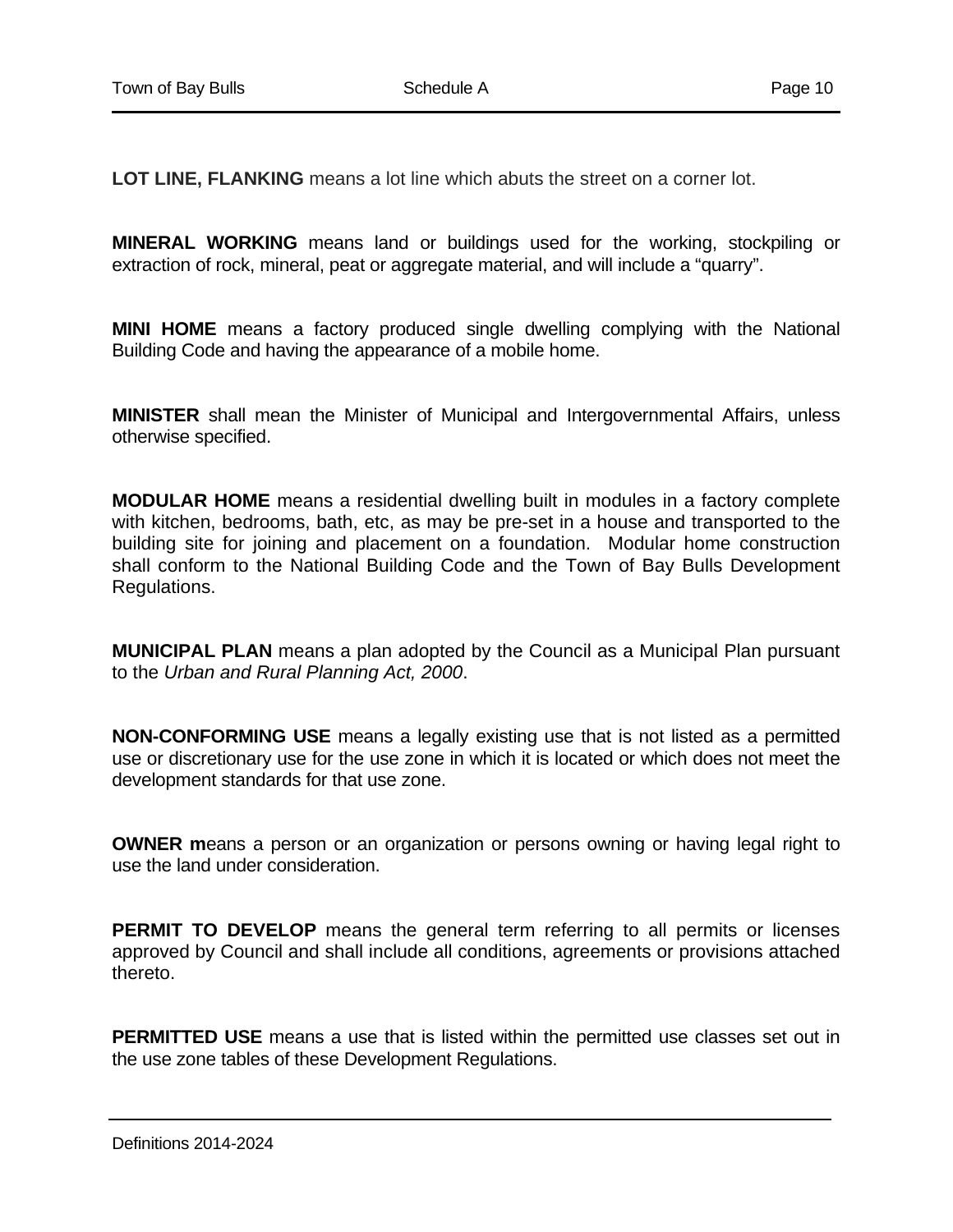**LOT LINE, FLANKING** means a lot line which abuts the street on a corner lot.

**MINERAL WORKING** means land or buildings used for the working, stockpiling or extraction of rock, mineral, peat or aggregate material, and will include a "quarry".

**MINI HOME** means a factory produced single dwelling complying with the National Building Code and having the appearance of a mobile home.

**MINISTER** shall mean the Minister of Municipal and Intergovernmental Affairs, unless otherwise specified.

**MODULAR HOME** means a residential dwelling built in modules in a factory complete with kitchen, bedrooms, bath, etc, as may be pre-set in a house and transported to the building site for joining and placement on a foundation. Modular home construction shall conform to the National Building Code and the Town of Bay Bulls Development Regulations.

**MUNICIPAL PLAN** means a plan adopted by the Council as a Municipal Plan pursuant to the *Urban and Rural Planning Act, 2000*.

**NON-CONFORMING USE** means a legally existing use that is not listed as a permitted use or discretionary use for the use zone in which it is located or which does not meet the development standards for that use zone.

**OWNER** means a person or an organization or persons owning or having legal right to use the land under consideration.

**PERMIT TO DEVELOP** means the general term referring to all permits or licenses approved by Council and shall include all conditions, agreements or provisions attached thereto.

**PERMITTED USE** means a use that is listed within the permitted use classes set out in the use zone tables of these Development Regulations.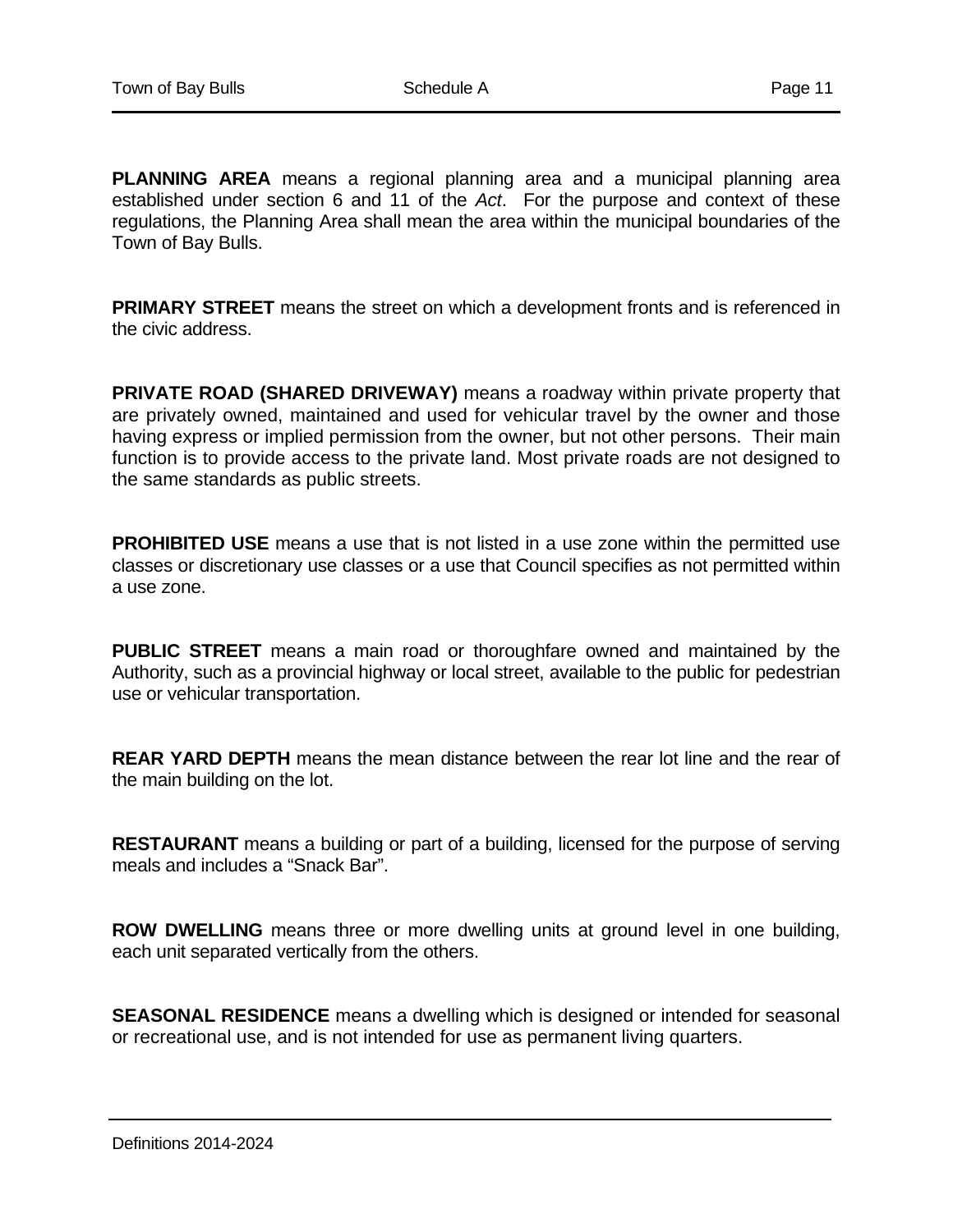**PLANNING AREA** means a regional planning area and a municipal planning area established under section 6 and 11 of the *Act*. For the purpose and context of these regulations, the Planning Area shall mean the area within the municipal boundaries of the Town of Bay Bulls.

**PRIMARY STREET** means the street on which a development fronts and is referenced in the civic address.

**PRIVATE ROAD (SHARED DRIVEWAY)** means a roadway within private property that are privately owned, maintained and used for vehicular travel by the owner and those having express or implied permission from the owner, but not other persons. Their main function is to provide access to the private land. Most private roads are not designed to the same standards as public streets.

**PROHIBITED USE** means a use that is not listed in a use zone within the permitted use classes or discretionary use classes or a use that Council specifies as not permitted within a use zone.

**PUBLIC STREET** means a main road or thoroughfare owned and maintained by the Authority, such as a provincial highway or local street, available to the public for pedestrian use or vehicular transportation.

**REAR YARD DEPTH** means the mean distance between the rear lot line and the rear of the main building on the lot.

**RESTAURANT** means a building or part of a building, licensed for the purpose of serving meals and includes a "Snack Bar".

**ROW DWELLING** means three or more dwelling units at ground level in one building, each unit separated vertically from the others.

**SEASONAL RESIDENCE** means a dwelling which is designed or intended for seasonal or recreational use, and is not intended for use as permanent living quarters.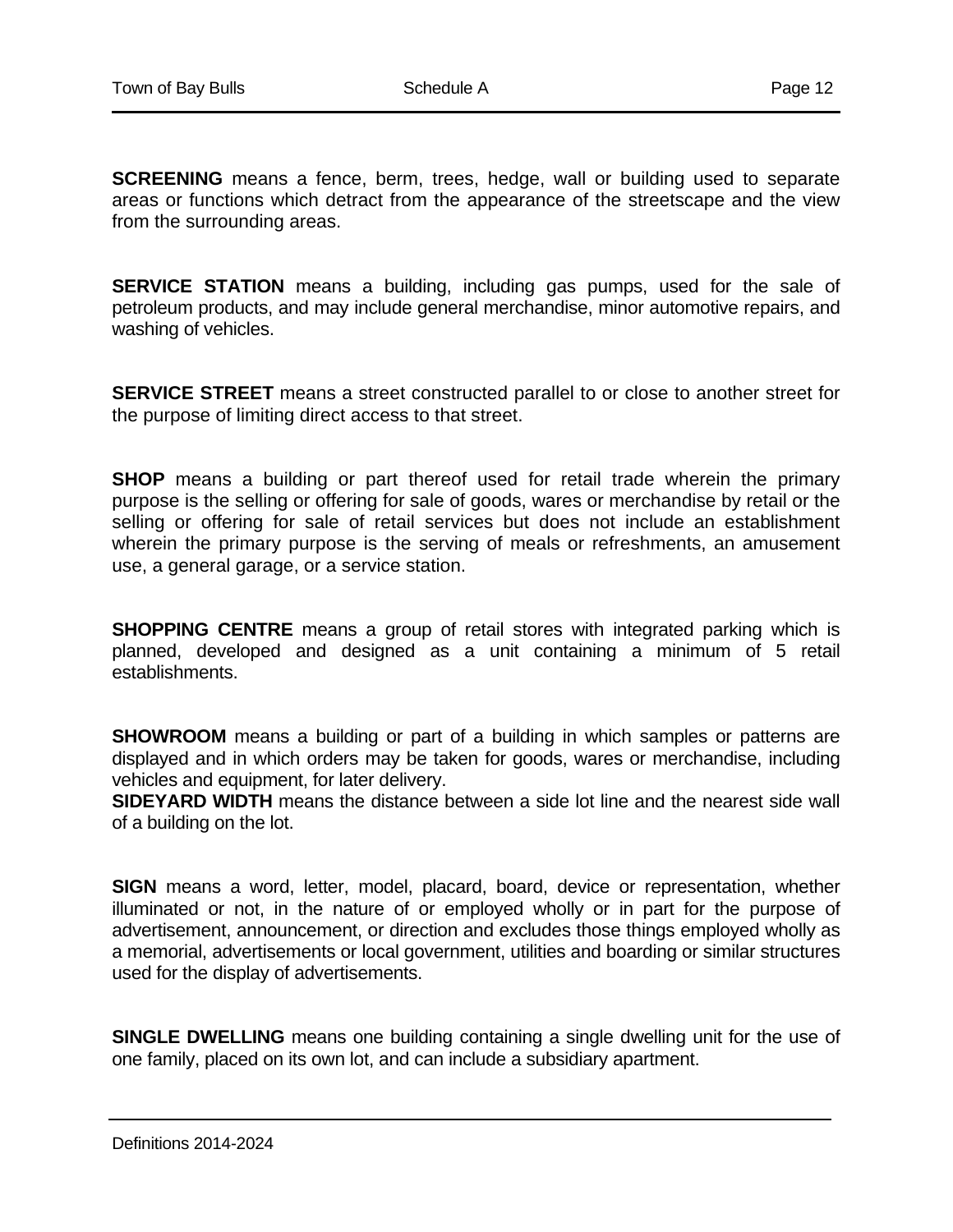**SCREENING** means a fence, berm, trees, hedge, wall or building used to separate areas or functions which detract from the appearance of the streetscape and the view from the surrounding areas.

**SERVICE STATION** means a building, including gas pumps, used for the sale of petroleum products, and may include general merchandise, minor automotive repairs, and washing of vehicles.

**SERVICE STREET** means a street constructed parallel to or close to another street for the purpose of limiting direct access to that street.

**SHOP** means a building or part thereof used for retail trade wherein the primary purpose is the selling or offering for sale of goods, wares or merchandise by retail or the selling or offering for sale of retail services but does not include an establishment wherein the primary purpose is the serving of meals or refreshments, an amusement use, a general garage, or a service station.

**SHOPPING CENTRE** means a group of retail stores with integrated parking which is planned, developed and designed as a unit containing a minimum of 5 retail establishments.

**SHOWROOM** means a building or part of a building in which samples or patterns are displayed and in which orders may be taken for goods, wares or merchandise, including vehicles and equipment, for later delivery.

**SIDEYARD WIDTH** means the distance between a side lot line and the nearest side wall of a building on the lot.

**SIGN** means a word, letter, model, placard, board, device or representation, whether illuminated or not, in the nature of or employed wholly or in part for the purpose of advertisement, announcement, or direction and excludes those things employed wholly as a memorial, advertisements or local government, utilities and boarding or similar structures used for the display of advertisements.

**SINGLE DWELLING** means one building containing a single dwelling unit for the use of one family, placed on its own lot, and can include a subsidiary apartment.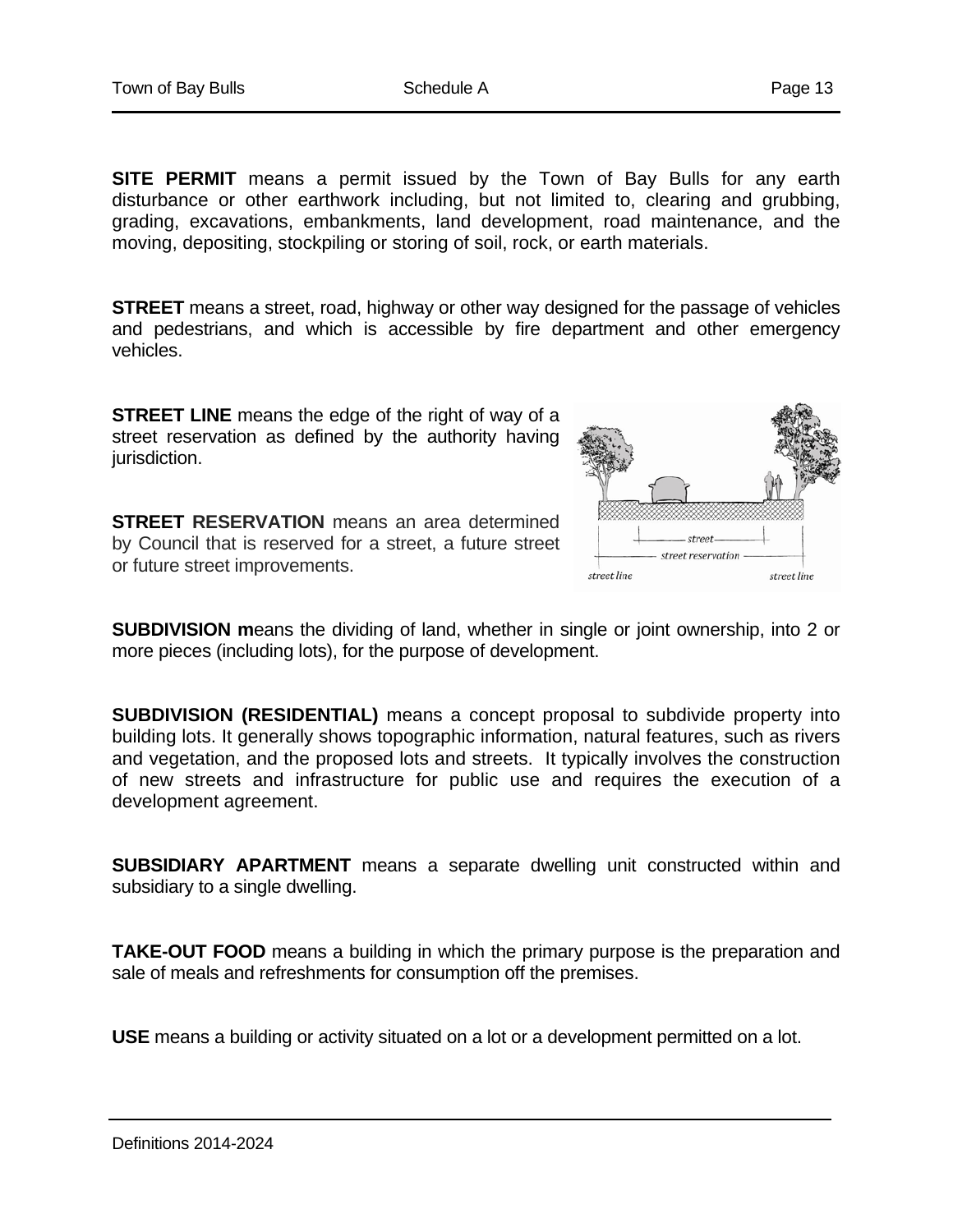**SITE PERMIT** means a permit issued by the Town of Bay Bulls for any earth disturbance or other earthwork including, but not limited to, clearing and grubbing, grading, excavations, embankments, land development, road maintenance, and the moving, depositing, stockpiling or storing of soil, rock, or earth materials.

**STREET** means a street, road, highway or other way designed for the passage of vehicles and pedestrians, and which is accessible by fire department and other emergency vehicles.

**STREET LINE** means the edge of the right of way of a street reservation as defined by the authority having jurisdiction.

**STREET RESERVATION** means an area determined by Council that is reserved for a street, a future street or future street improvements.



**SUBDIVISION m**eans the dividing of land, whether in single or joint ownership, into 2 or more pieces (including lots), for the purpose of development.

**SUBDIVISION (RESIDENTIAL)** means a concept proposal to subdivide property into building lots. It generally shows topographic information, natural features, such as rivers and vegetation, and the proposed lots and streets. It typically involves the construction of new streets and infrastructure for public use and requires the execution of a development agreement.

**SUBSIDIARY APARTMENT** means a separate dwelling unit constructed within and subsidiary to a single dwelling.

**TAKE-OUT FOOD** means a building in which the primary purpose is the preparation and sale of meals and refreshments for consumption off the premises.

**USE** means a building or activity situated on a lot or a development permitted on a lot.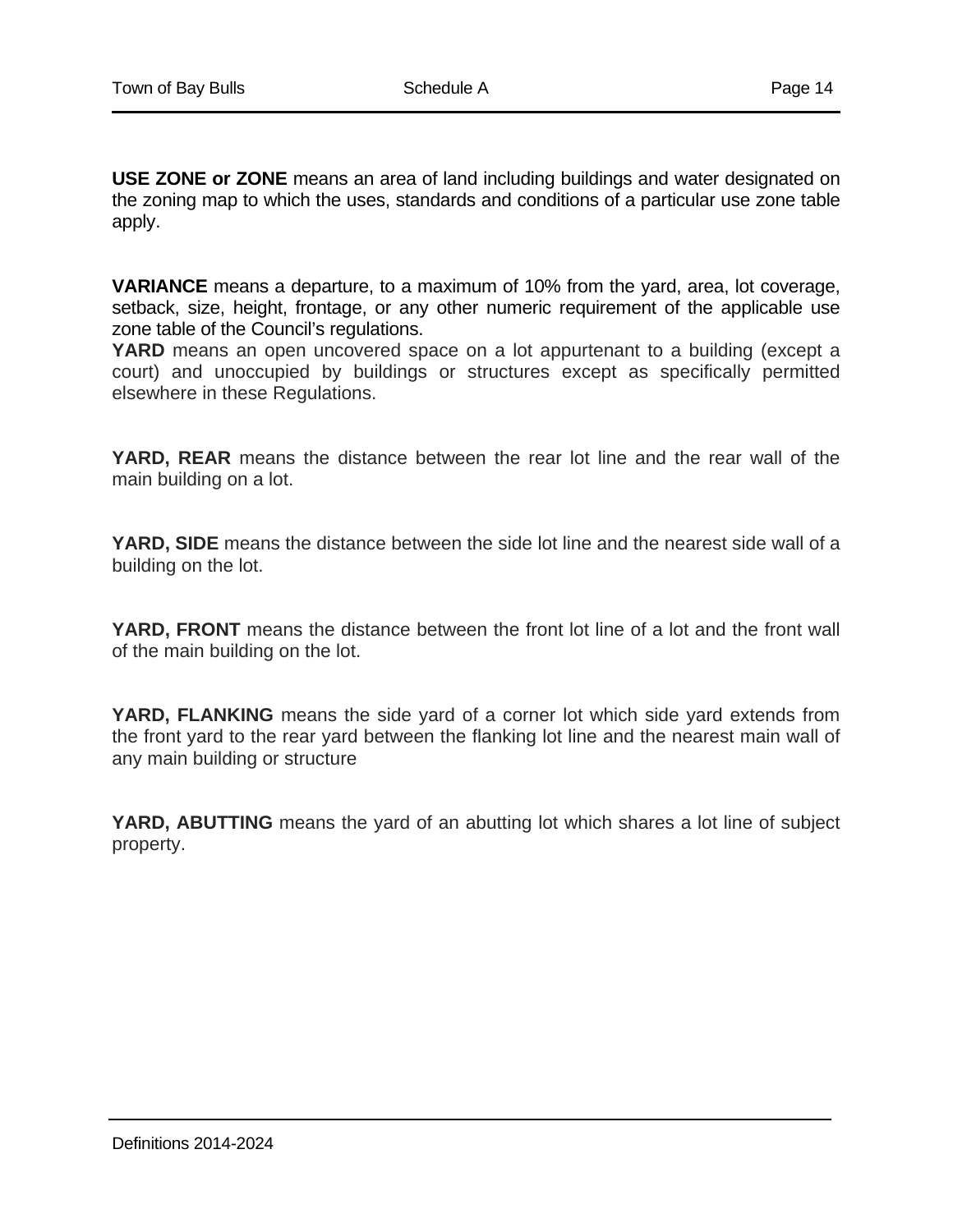**USE ZONE or ZONE** means an area of land including buildings and water designated on the zoning map to which the uses, standards and conditions of a particular use zone table apply.

**VARIANCE** means a departure, to a maximum of 10% from the yard, area, lot coverage, setback, size, height, frontage, or any other numeric requirement of the applicable use zone table of the Council's regulations.

**YARD** means an open uncovered space on a lot appurtenant to a building (except a court) and unoccupied by buildings or structures except as specifically permitted elsewhere in these Regulations.

**YARD, REAR** means the distance between the rear lot line and the rear wall of the main building on a lot.

**YARD, SIDE** means the distance between the side lot line and the nearest side wall of a building on the lot.

**YARD, FRONT** means the distance between the front lot line of a lot and the front wall of the main building on the lot.

**YARD, FLANKING** means the side yard of a corner lot which side yard extends from the front yard to the rear yard between the flanking lot line and the nearest main wall of any main building or structure

**YARD, ABUTTING** means the yard of an abutting lot which shares a lot line of subject property.